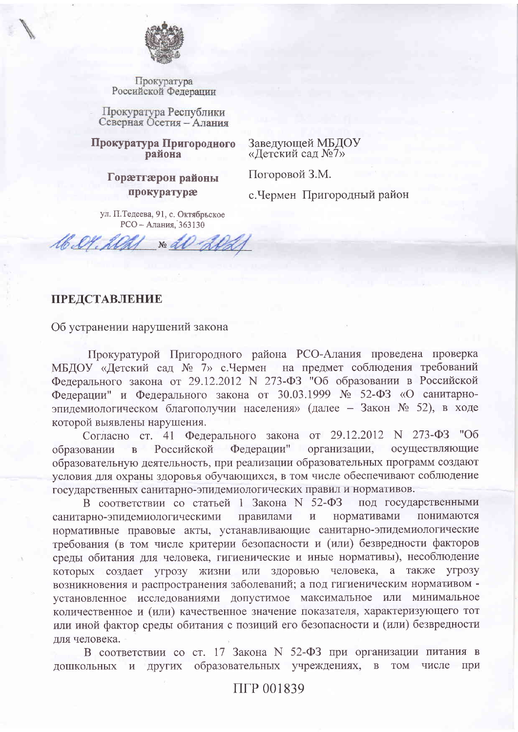

Прокуратура Российской Федерации

Прокуратура Республики Северная Осетия - Алания

Прокуратура Пригородного района

Заведующей МБДОУ «Детский сад №7»

Погоровой З.М. Гораетгаерон районы

прокуратура

с. Чермен Пригородный район

ул. П.Тедеева, 91, с. Октябрьское РСО - Алания, 363130

Sb. O. 21 No all de

## **ПРЕДСТАВЛЕНИЕ**

Об устранении нарушений закона

Прокуратурой Пригородного района РСО-Алания проведена проверка МБДОУ «Детский сад № 7» с. Чермен на предмет соблюдения требований Федерального закона от 29.12.2012 N 273-ФЗ "Об образовании в Российской Федерации" и Федерального закона от 30.03.1999 № 52-ФЗ «О санитарноэпидемиологическом благополучии населения» (далее – Закон № 52), в ходе которой выявлены нарушения.

Согласно ст. 41 Федерального закона от 29.12.2012 N 273-ФЗ "Об Федерации" организации, осуществляющие Российской образовании  $B$ образовательную деятельность, при реализации образовательных программ создают условия для охраны здоровья обучающихся, в том числе обеспечивают соблюдение государственных санитарно-эпидемиологических правил и нормативов.

В соответствии со статьей 1 Закона N 52-ФЗ под государственными нормативами понимаются санитарно-эпидемиологическими правилами  $\overline{M}$ нормативные правовые акты, устанавливающие санитарно-эпидемиологические требования (в том числе критерии безопасности и (или) безвредности факторов среды обитания для человека, гигиенические и иные нормативы), несоблюдение которых создает угрозу жизни или здоровью человека, а также угрозу возникновения и распространения заболеваний; а под гигиеническим нормативом установленное исследованиями допустимое максимальное или минимальное количественное и (или) качественное значение показателя, характеризующего тот или иной фактор среды обитания с позиций его безопасности и (или) безвредности лля человека.

В соответствии со ст. 17 Закона N 52-ФЗ при организации питания в образовательных учреждениях, в том числе при дошкольных и других